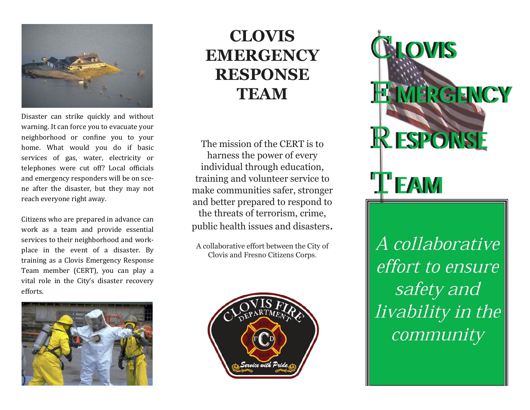

Disaster can strike quickly and without warning. It can force you to evacuate your neighborhood or confine you to your home. What would you do if basic services of gas, water, electricity or telephones were cut off? Local officials and emergency responders will be on scene after the disaster, but they may not reach everyone right away.

Citizens who are prepared in advance can work as a team and provide essential services to their neighborhood and workplace in the event of a disaster. By training as a Clovis Emergency Response Team member (CERT), you can play a vital role in the City's disaster recovery efforts.



# **CLOVIS EMERGENCY RESPONSE TEAM**

The mission of the CERT is to harness the power of every individual through education, training and volunteer service to make communities safer, stronger and better prepared to respond to the threats of terrorism, crime, public health issues and disasters.

A collaborative effort between the City of Clovis and Fresno Citizens Corps.



CLOVIS **IE MERGENCY RESPONSE TEAM** 

A collaborative effort to ensure safety and livability in the community